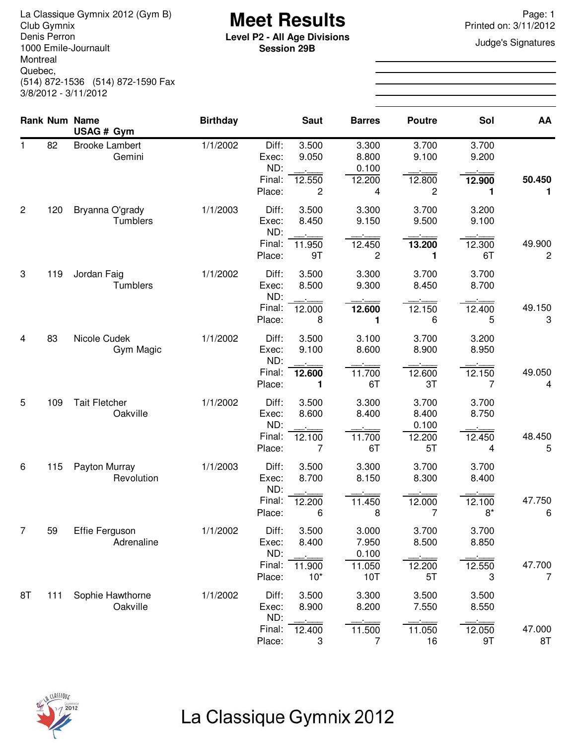**Meet Results** La Classique Gymnix 2012 (Gym B) Page: 1 Denis Perron 1000 Emile-Journault Montreal Quebec, (514) 872-1536 (514) 872-1590 Fax 3/8/2012 - 3/11/2012

**Level P2 - All Age Divisions**<br> **Level P2 - All Age Divisions**<br> **Session 20P Session 29B**

Printed on: 3/11/2012

|                |     | <b>Rank Num Name</b><br>USAG # Gym  | <b>Birthday</b> |                                           | <b>Saut</b>                                | <b>Barres</b>                            | <b>Poutre</b>                           | Sol                              | AA                       |
|----------------|-----|-------------------------------------|-----------------|-------------------------------------------|--------------------------------------------|------------------------------------------|-----------------------------------------|----------------------------------|--------------------------|
| 1              | 82  | <b>Brooke Lambert</b><br>Gemini     | 1/1/2002        | Diff:<br>Exec:<br>ND:<br>Final:<br>Place: | 3.500<br>9.050<br>12.550<br>$\overline{c}$ | 3.300<br>8.800<br>0.100<br>12.200<br>4   | 3.700<br>9.100<br>12.800<br>2           | 3.700<br>9.200<br>12.900<br>1    | 50.450<br>1              |
| $\overline{2}$ | 120 | Bryanna O'grady<br>Tumblers         | 1/1/2003        | Diff:<br>Exec:<br>ND:<br>Final:<br>Place: | 3.500<br>8.450<br>11.950<br>9T             | 3.300<br>9.150<br>12.450<br>2            | 3.700<br>9.500<br>13.200<br>1           | 3.200<br>9.100<br>12.300<br>6T   | 49.900<br>$\overline{c}$ |
| 3              | 119 | Jordan Faig<br>Tumblers             | 1/1/2002        | Diff:<br>Exec:<br>ND:<br>Final:<br>Place: | 3.500<br>8.500<br>12.000<br>8              | 3.300<br>9.300<br>12.600<br>1            | 3.700<br>8.450<br>12.150<br>6           | 3.700<br>8.700<br>12.400<br>5    | 49.150<br>3              |
| $\overline{4}$ | 83  | Nicole Cudek<br>Gym Magic           | 1/1/2002        | Diff:<br>Exec:<br>ND:<br>Final:<br>Place: | 3.500<br>9.100<br>12.600<br>1              | 3.100<br>8.600<br>11.700<br>6T           | 3.700<br>8.900<br>12.600<br>3T          | 3.200<br>8.950<br>12.150<br>7    | 49.050<br>4              |
| 5              | 109 | <b>Tait Fletcher</b><br>Oakville    | 1/1/2002        | Diff:<br>Exec:<br>ND:<br>Final:<br>Place: | 3.500<br>8.600<br>12.100<br>7              | 3.300<br>8.400<br>11.700<br>6T           | 3.700<br>8.400<br>0.100<br>12.200<br>5T | 3.700<br>8.750<br>12.450<br>4    | 48.450<br>5              |
| 6              | 115 | Payton Murray<br>Revolution         | 1/1/2003        | Diff:<br>Exec:<br>ND:<br>Final:<br>Place: | 3.500<br>8.700<br>12.200<br>6              | 3.300<br>8.150<br>11.450<br>8            | 3.700<br>8.300<br>12.000<br>7           | 3.700<br>8.400<br>12.100<br>$8*$ | 47.750<br>6              |
| 7              | 59  | <b>Effie Ferguson</b><br>Adrenaline | 1/1/2002        | Diff:<br>Exec:<br>ND:<br>Final:<br>Place: | 3.500<br>8.400<br>11.900<br>$10*$          | 3.000<br>7.950<br>0.100<br>11.050<br>10T | 3.700<br>8.500<br>12.200<br>5T          | 3.700<br>8.850<br>12.550<br>3    | 47.700<br>$\overline{7}$ |
| 8T             | 111 | Sophie Hawthorne<br>Oakville        | 1/1/2002        | Diff:<br>Exec:<br>ND:<br>Final:<br>Place: | 3.500<br>8.900<br>12.400<br>3              | 3.300<br>8.200<br>11.500<br>7            | 3.500<br>7.550<br>11.050<br>16          | 3.500<br>8.550<br>12.050<br>9T   | 47.000<br>8T             |

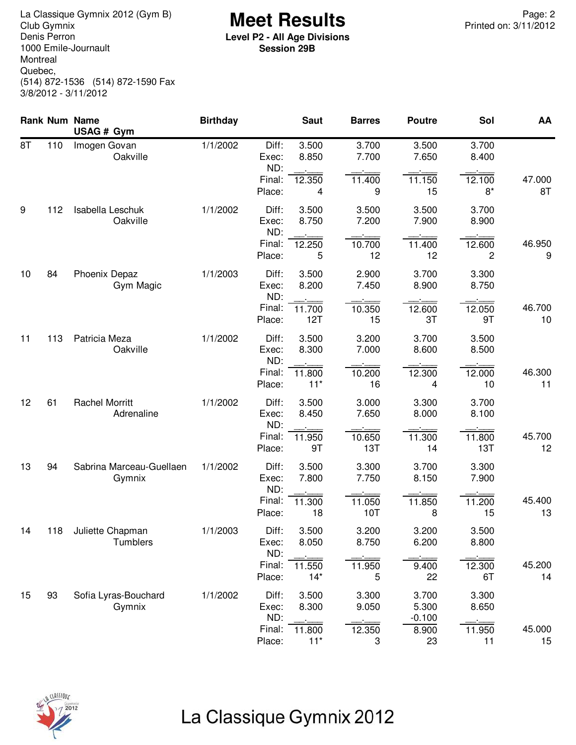**Meet Results** La Classique Gymnix 2012 (Gym B) Page: 2 Denis Perron 1000 Emile-Journault Montreal Quebec, (514) 872-1536 (514) 872-1590 Fax 3/8/2012 - 3/11/2012

**Level P2 - All Age Divisions Session 29B**

|    |     | <b>Rank Num Name</b><br>USAG # Gym  | <b>Birthday</b> |                       | <b>Saut</b>     | <b>Barres</b>  | <b>Poutre</b>              | Sol            | AA           |
|----|-----|-------------------------------------|-----------------|-----------------------|-----------------|----------------|----------------------------|----------------|--------------|
| 8T | 110 | Imogen Govan<br>Oakville            | 1/1/2002        | Diff:<br>Exec:<br>ND: | 3.500<br>8.850  | 3.700<br>7.700 | 3.500<br>7.650             | 3.700<br>8.400 |              |
|    |     |                                     |                 | Final:<br>Place:      | 12.350<br>4     | 11.400<br>9    | 11.150<br>15               | 12.100<br>$8*$ | 47.000<br>8T |
| 9  | 112 | Isabella Leschuk<br>Oakville        | 1/1/2002        | Diff:<br>Exec:<br>ND: | 3.500<br>8.750  | 3.500<br>7.200 | 3.500<br>7.900             | 3.700<br>8.900 |              |
|    |     |                                     |                 | Final:<br>Place:      | 12.250<br>5     | 10.700<br>12   | 11.400<br>12               | 12.600<br>2    | 46.950<br>9  |
| 10 | 84  | Phoenix Depaz<br>Gym Magic          | 1/1/2003        | Diff:<br>Exec:<br>ND: | 3.500<br>8.200  | 2.900<br>7.450 | 3.700<br>8.900             | 3.300<br>8.750 |              |
|    |     |                                     |                 | Final:<br>Place:      | 11.700<br>12T   | 10.350<br>15   | 12.600<br>3T               | 12.050<br>9T   | 46.700<br>10 |
| 11 | 113 | Patricia Meza<br>Oakville           | 1/1/2002        | Diff:<br>Exec:<br>ND: | 3.500<br>8.300  | 3.200<br>7.000 | 3.700<br>8.600             | 3.500<br>8.500 |              |
|    |     |                                     |                 | Final:<br>Place:      | 11.800<br>$11*$ | 10.200<br>16   | 12.300<br>4                | 12.000<br>10   | 46.300<br>11 |
| 12 | 61  | <b>Rachel Morritt</b><br>Adrenaline | 1/1/2002        | Diff:<br>Exec:<br>ND: | 3.500<br>8.450  | 3.000<br>7.650 | 3.300<br>8.000             | 3.700<br>8.100 |              |
|    |     |                                     |                 | Final:<br>Place:      | 11.950<br>9T    | 10.650<br>13T  | 11.300<br>14               | 11.800<br>13T  | 45.700<br>12 |
| 13 | 94  | Sabrina Marceau-Guellaen<br>Gymnix  | 1/1/2002        | Diff:<br>Exec:<br>ND: | 3.500<br>7.800  | 3.300<br>7.750 | 3.700<br>8.150             | 3.300<br>7.900 |              |
|    |     |                                     |                 | Final:<br>Place:      | 11.300<br>18    | 11.050<br>10T  | 11.850<br>8                | 11.200<br>15   | 45.400<br>13 |
| 14 | 118 | Juliette Chapman<br>Tumblers        | 1/1/2003        | Diff:<br>Exec:<br>ND: | 3.500<br>8.050  | 3.200<br>8.750 | 3.200<br>6.200             | 3.500<br>8.800 |              |
|    |     |                                     |                 | Final:<br>Place:      | 11.550<br>$14*$ | 11.950<br>5    | 9.400<br>22                | 12.300<br>6T   | 45.200<br>14 |
| 15 | 93  | Sofia Lyras-Bouchard<br>Gymnix      | 1/1/2002        | Diff:<br>Exec:<br>ND: | 3.500<br>8.300  | 3.300<br>9.050 | 3.700<br>5.300<br>$-0.100$ | 3.300<br>8.650 |              |
|    |     |                                     |                 | Final:<br>Place:      | 11.800<br>$11*$ | 12.350<br>3    | 8.900<br>23                | 11.950<br>11   | 45.000<br>15 |

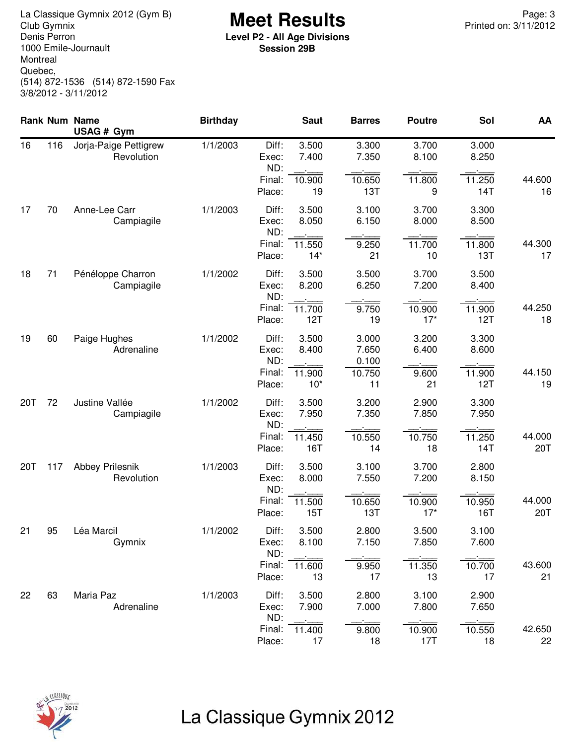**Meet Results** La Classique Gymnix 2012 (Gym B) Page: 3 Denis Perron 1000 Emile-Journault Montreal Quebec, (514) 872-1536 (514) 872-1590 Fax 3/8/2012 - 3/11/2012

**Level P2 - All Age Divisions Session 29B**

|     |     | <b>Rank Num Name</b><br>USAG # Gym   | <b>Birthday</b> |                       | <b>Saut</b>     | <b>Barres</b>           | <b>Poutre</b>   | Sol            | AA            |
|-----|-----|--------------------------------------|-----------------|-----------------------|-----------------|-------------------------|-----------------|----------------|---------------|
| 16  | 116 | Jorja-Paige Pettigrew<br>Revolution  | 1/1/2003        | Diff:<br>Exec:<br>ND: | 3.500<br>7.400  | 3.300<br>7.350          | 3.700<br>8.100  | 3.000<br>8.250 |               |
|     |     |                                      |                 | Final:<br>Place:      | 10.900<br>19    | 10.650<br>13T           | 11.800<br>9     | 11.250<br>14T  | 44.600<br>16  |
| 17  | 70  | Anne-Lee Carr<br>Campiagile          | 1/1/2003        | Diff:<br>Exec:<br>ND: | 3.500<br>8.050  | 3.100<br>6.150          | 3.700<br>8.000  | 3.300<br>8.500 |               |
|     |     |                                      |                 | Final:<br>Place:      | 11.550<br>$14*$ | 9.250<br>21             | 11.700<br>10    | 11.800<br>13T  | 44.300<br>17  |
| 18  | 71  | Pénéloppe Charron<br>Campiagile      | 1/1/2002        | Diff:<br>Exec:<br>ND: | 3.500<br>8.200  | 3.500<br>6.250          | 3.700<br>7.200  | 3.500<br>8.400 |               |
|     |     |                                      |                 | Final:<br>Place:      | 11.700<br>12T   | 9.750<br>19             | 10.900<br>$17*$ | 11.900<br>12T  | 44.250<br>18  |
| 19  | 60  | Paige Hughes<br>Adrenaline           | 1/1/2002        | Diff:<br>Exec:<br>ND: | 3.500<br>8.400  | 3.000<br>7.650<br>0.100 | 3.200<br>6.400  | 3.300<br>8.600 |               |
|     |     |                                      |                 | Final:<br>Place:      | 11.900<br>$10*$ | 10.750<br>11            | 9.600<br>21     | 11.900<br>12T  | 44.150<br>19  |
| 20T | 72  | Justine Vallée<br>Campiagile         | 1/1/2002        | Diff:<br>Exec:<br>ND: | 3.500<br>7.950  | 3.200<br>7.350          | 2.900<br>7.850  | 3.300<br>7.950 |               |
|     |     |                                      |                 | Final:<br>Place:      | 11.450<br>16T   | 10.550<br>14            | 10.750<br>18    | 11.250<br>14T  | 44.000<br>20T |
| 20T | 117 | <b>Abbey Prilesnik</b><br>Revolution | 1/1/2003        | Diff:<br>Exec:<br>ND: | 3.500<br>8.000  | 3.100<br>7.550          | 3.700<br>7.200  | 2.800<br>8.150 |               |
|     |     |                                      |                 | Final:<br>Place:      | 11.500<br>15T   | 10.650<br>13T           | 10.900<br>$17*$ | 10.950<br>16T  | 44.000<br>20T |
| 21  | 95  | Léa Marcil<br>Gymnix                 | 1/1/2002        | Diff:<br>Exec:<br>ND: | 3.500<br>8.100  | 2.800<br>7.150          | 3.500<br>7.850  | 3.100<br>7.600 |               |
|     |     |                                      |                 | Final:<br>Place:      | 11.600<br>13    | 9.950<br>17             | 11.350<br>13    | 10.700<br>17   | 43.600<br>21  |
| 22  | 63  | Maria Paz<br>Adrenaline              | 1/1/2003        | Diff:<br>Exec:<br>ND: | 3.500<br>7.900  | 2.800<br>7.000          | 3.100<br>7.800  | 2.900<br>7.650 |               |
|     |     |                                      |                 | Final:<br>Place:      | 11.400<br>17    | 9.800<br>18             | 10.900<br>17T   | 10.550<br>18   | 42.650<br>22  |